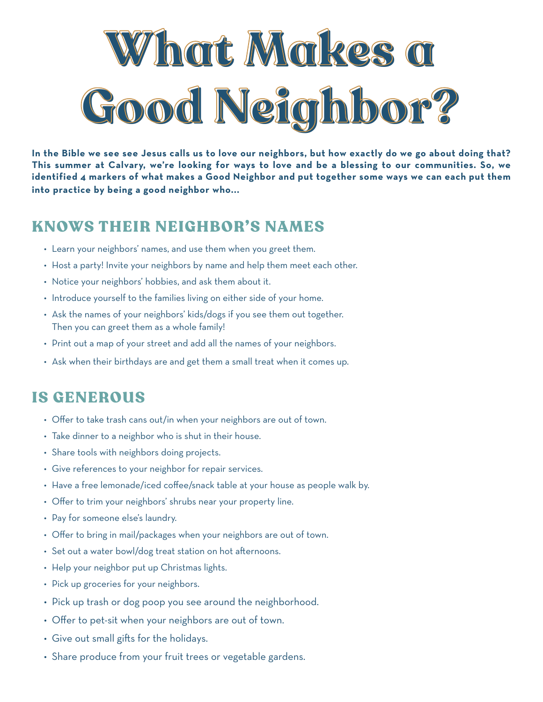

**In the Bible we see see Jesus calls us to love our neighbors, but how exactly do we go about doing that? This summer at Calvary, we're looking for ways to love and be a blessing to our communities. So, we identified 4 markers of what makes a Good Neighbor and put together some ways we can each put them into practice by being a good neighbor who...**

## KNOWS THEIR NEIGHBOR'S NAMES

- Learn your neighbors' names, and use them when you greet them.
- Host a party! Invite your neighbors by name and help them meet each other.
- Notice your neighbors' hobbies, and ask them about it.
- Introduce yourself to the families living on either side of your home.
- Ask the names of your neighbors' kids/dogs if you see them out together. Then you can greet them as a whole family!
- Print out a map of your street and add all the names of your neighbors.
- Ask when their birthdays are and get them a small treat when it comes up.

## IS GENEROUS

- Offer to take trash cans out/in when your neighbors are out of town.
- Take dinner to a neighbor who is shut in their house.
- Share tools with neighbors doing projects.
- Give references to your neighbor for repair services.
- Have a free lemonade/iced coffee/snack table at your house as people walk by.
- Offer to trim your neighbors' shrubs near your property line.
- Pay for someone else's laundry.
- Offer to bring in mail/packages when your neighbors are out of town.
- Set out a water bowl/dog treat station on hot afternoons.
- Help your neighbor put up Christmas lights.
- Pick up groceries for your neighbors.
- Pick up trash or dog poop you see around the neighborhood.
- Offer to pet-sit when your neighbors are out of town.
- Give out small gifts for the holidays.
- Share produce from your fruit trees or vegetable gardens.